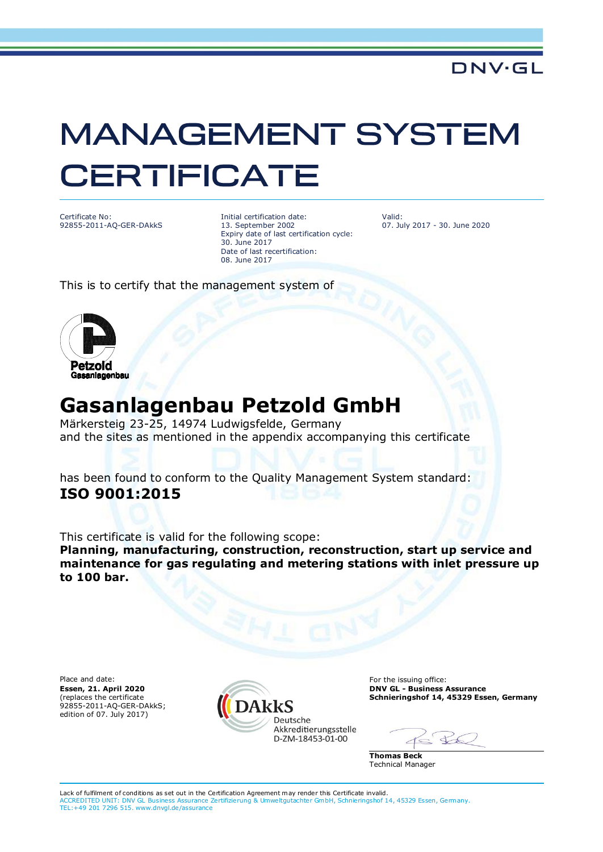## **MANAGEMENT SYSTEM CERTIFICATE**

Certificate No: 92855-2011-AQ-GER-DAkkS

Initial certification date: 13. September 2002 Expiry date of last certification cycle: 30. June 2017 Date of last recertification: 08. June 2017

Valid: 07. July 2017 - 30. June 2020

This is to certify that the management system of



## **Gasanlagenbau Petzold GmbH**

Märkersteig 23-25, 14974 Ludwigsfelde, Germany and the sites as mentioned in the appendix accompanying this certificate

has been found to conform to the Quality Management System standard: **ISO 9001:2015**

This certificate is valid for the following scope:

**Planning, manufacturing, construction, reconstruction, start up service and maintenance for gas regulating and metering stations with inlet pressure up to 100 bar.**

**Essen, 21. April 2020** (replaces the certificate 92855-2011-AQ-GER-DAkkS; edition of 07. July 2017)



**DNV GL - Business Assurance Schnieringshof 14, 45329 Essen, Germany**

 $\leftarrow$ 

**Thomas Beck** Technical Manager

Lack of fulfilment of conditions as set out in the Certification Agreement may render this Certificate invalid. ACCREDITED UNIT: DNV GL Business Assurance Zertifizierung & Umweltgutachter GmbH, Schnieringshof 14, 45329 Essen, Germany. ACCREDITED UNIT: DNV GL Business Assurance Zertifizierung<br>TEL:+49 201 7296 515. www.dnvgl.de/assurance